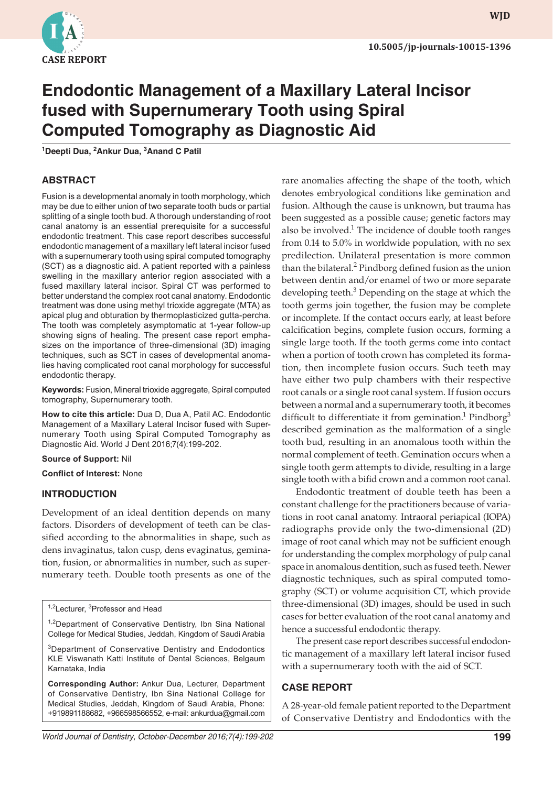

**wjd WJD**

# **Endodontic Management of a Maxillary Lateral Incisor fused with Supernumerary Tooth using Spiral Computed Tomography as Diagnostic Aid**

**1 Deepti Dua, 2 Ankur Dua, 3 Anand C Patil**

# **ABSTRACT**

Fusion is a developmental anomaly in tooth morphology, which may be due to either union of two separate tooth buds or partial splitting of a single tooth bud. A thorough understanding of root canal anatomy is an essential prerequisite for a successful endodontic treatment. This case report describes successful endodontic management of a maxillary left lateral incisor fused with a supernumerary tooth using spiral computed tomography (SCT) as a diagnostic aid. A patient reported with a painless swelling in the maxillary anterior region associated with a fused maxillary lateral incisor. Spiral CT was performed to better understand the complex root canal anatomy. Endodontic treatment was done using methyl trioxide aggregate (MTA) as apical plug and obturation by thermoplasticized gutta-percha. The tooth was completely asymptomatic at 1-year follow-up showing signs of healing. The present case report emphasizes on the importance of three-dimensional (3D) imaging techniques, such as SCT in cases of developmental anomalies having complicated root canal morphology for successful endodontic therapy.

**Keywords:** Fusion, Mineral trioxide aggregate, Spiral computed tomography, Supernumerary tooth.

**How to cite this article:** Dua D, Dua A, Patil AC. Endodontic Management of a Maxillary Lateral Incisor fused with Supernumerary Tooth using Spiral Computed Tomography as Diagnostic Aid. World J Dent 2016;7(4):199-202.

**Source of Support:** Nil

**Conflict of Interest:** None

## **INTRODUCTION**

Development of an ideal dentition depends on many factors. Disorders of development of teeth can be classified according to the abnormalities in shape, such as dens invaginatus, talon cusp, dens evaginatus, gemination, fusion, or abnormalities in number, such as supernumerary teeth. Double tooth presents as one of the

<sup>1,2</sup>Lecturer, <sup>3</sup>Professor and Head

<sup>1,2</sup>Department of Conservative Dentistry, Ibn Sina National College for Medical Studies, Jeddah, Kingdom of Saudi Arabia

<sup>3</sup>Department of Conservative Dentistry and Endodontics KLE Viswanath Katti Institute of Dental Sciences, Belgaum Karnataka, India

**Corresponding Author:** Ankur Dua, Lecturer, Department of Conservative Dentistry, Ibn Sina National College for Medical Studies, Jeddah, Kingdom of Saudi Arabia, Phone: +919891188682, +966598566552, e-mail: ankurdua@gmail.com rare anomalies affecting the shape of the tooth, which denotes embryological conditions like gemination and fusion. Although the cause is unknown, but trauma has been suggested as a possible cause; genetic factors may also be involved.<sup>1</sup> The incidence of double tooth ranges from 0.14 to 5.0% in worldwide population, with no sex predilection. Unilateral presentation is more common than the bilateral.<sup>2</sup> Pindborg defined fusion as the union between dentin and/or enamel of two or more separate developing teeth.<sup>3</sup> Depending on the stage at which the tooth germs join together, the fusion may be complete or incomplete. If the contact occurs early, at least before calcification begins, complete fusion occurs, forming a single large tooth. If the tooth germs come into contact when a portion of tooth crown has completed its formation, then incomplete fusion occurs. Such teeth may have either two pulp chambers with their respective root canals or a single root canal system. If fusion occurs between a normal and a supernumerary tooth, it becomes difficult to differentiate it from gemination.<sup>1</sup> Pindborg<sup>3</sup> described gemination as the malformation of a single tooth bud, resulting in an anomalous tooth within the normal complement of teeth. Gemination occurs when a single tooth germ attempts to divide, resulting in a large single tooth with a bifid crown and a common root canal.

Endodontic treatment of double teeth has been a constant challenge for the practitioners because of variations in root canal anatomy. Intraoral periapical (IOPA) radiographs provide only the two-dimensional (2D) image of root canal which may not be sufficient enough for understanding the complex morphology of pulp canal space in anomalous dentition, such as fused teeth. Newer diagnostic techniques, such as spiral computed tomography (SCT) or volume acquisition CT, which provide three-dimensional (3D) images, should be used in such cases for better evaluation of the root canal anatomy and hence a successful endodontic therapy.

The present case report describes successful endodontic management of a maxillary left lateral incisor fused with a supernumerary tooth with the aid of SCT.

## **CASE REPORT**

A 28-year-old female patient reported to the Department of Conservative Dentistry and Endodontics with the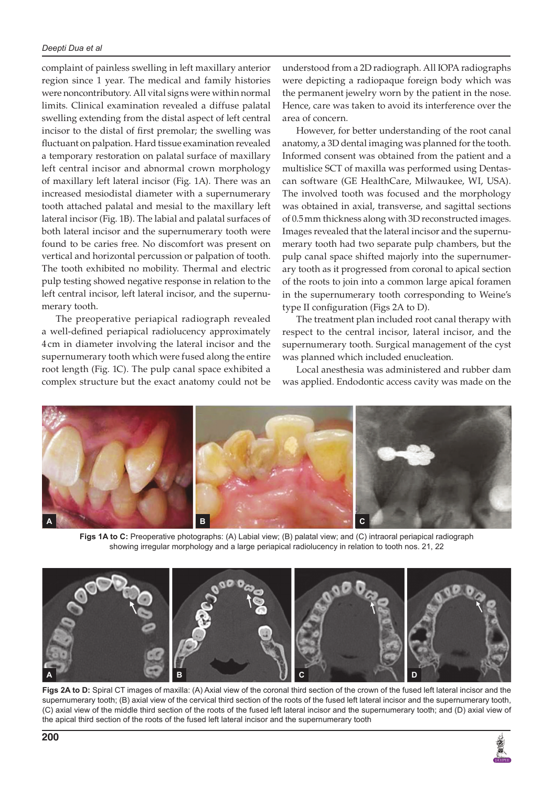complaint of painless swelling in left maxillary anterior region since 1 year. The medical and family histories were noncontributory. All vital signs were within normal limits. Clinical examination revealed a diffuse palatal swelling extending from the distal aspect of left central incisor to the distal of first premolar; the swelling was fluctuant on palpation. Hard tissue examination revealed a temporary restoration on palatal surface of maxillary left central incisor and abnormal crown morphology of maxillary left lateral incisor (Fig. 1A). There was an increased mesiodistal diameter with a supernumerary tooth attached palatal and mesial to the maxillary left lateral incisor (Fig. 1B). The labial and palatal surfaces of both lateral incisor and the supernumerary tooth were found to be caries free. No discomfort was present on vertical and horizontal percussion or palpation of tooth. The tooth exhibited no mobility. Thermal and electric pulp testing showed negative response in relation to the left central incisor, left lateral incisor, and the supernumerary tooth.

The preoperative periapical radiograph revealed a well-defined periapical radiolucency approximately 4 cm in diameter involving the lateral incisor and the supernumerary tooth which were fused along the entire root length (Fig. 1C). The pulp canal space exhibited a complex structure but the exact anatomy could not be understood from a 2D radiograph. All IOPA radiographs were depicting a radiopaque foreign body which was the permanent jewelry worn by the patient in the nose. Hence, care was taken to avoid its interference over the area of concern.

However, for better understanding of the root canal anatomy, a 3D dental imaging was planned for the tooth. Informed consent was obtained from the patient and a multislice SCT of maxilla was performed using Dentascan software (GE HealthCare, Milwaukee, WI, USA). The involved tooth was focused and the morphology was obtained in axial, transverse, and sagittal sections of 0.5mm thickness along with 3D reconstructed images. Images revealed that the lateral incisor and the supernumerary tooth had two separate pulp chambers, but the pulp canal space shifted majorly into the supernumerary tooth as it progressed from coronal to apical section of the roots to join into a common large apical foramen in the supernumerary tooth corresponding to Weine's type II configuration (Figs 2A to D).

The treatment plan included root canal therapy with respect to the central incisor, lateral incisor, and the supernumerary tooth. Surgical management of the cyst was planned which included enucleation.

Local anesthesia was administered and rubber dam was applied. Endodontic access cavity was made on the



**Figs 1A to C:** Preoperative photographs: (A) Labial view; (B) palatal view; and (C) intraoral periapical radiograph showing irregular morphology and a large periapical radiolucency in relation to tooth nos. 21, 22



**Figs 2A to D:** Spiral CT images of maxilla: (A) Axial view of the coronal third section of the crown of the fused left lateral incisor and the supernumerary tooth; (B) axial view of the cervical third section of the roots of the fused left lateral incisor and the supernumerary tooth, (C) axial view of the middle third section of the roots of the fused left lateral incisor and the supernumerary tooth; and (D) axial view of the apical third section of the roots of the fused left lateral incisor and the supernumerary tooth

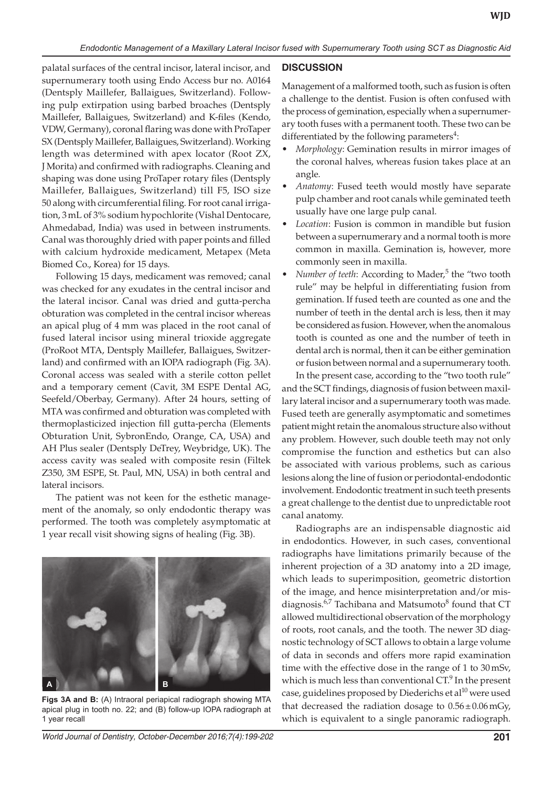palatal surfaces of the central incisor, lateral incisor, and supernumerary tooth using Endo Access bur no. A0164 (Dentsply Maillefer, Ballaigues, Switzerland). Following pulp extirpation using barbed broaches (Dentsply Maillefer, Ballaigues, Switzerland) and K-files (Kendo, VDW, Germany), coronal flaring was done with ProTaper SX (Dentsply Maillefer, Ballaigues, Switzerland). Working length was determined with apex locator (Root ZX, J Morita) and confirmed with radiographs. Cleaning and shaping was done using ProTaper rotary files (Dentsply Maillefer, Ballaigues, Switzerland) till F5, ISO size 50 along with circumferential filing. For root canal irrigation, 3mL of 3% sodium hypochlorite (Vishal Dentocare, Ahmedabad, India) was used in between instruments. Canal was thoroughly dried with paper points and filled with calcium hydroxide medicament, Metapex (Meta Biomed Co., Korea) for 15 days.

Following 15 days, medicament was removed; canal was checked for any exudates in the central incisor and the lateral incisor. Canal was dried and gutta-percha obturation was completed in the central incisor whereas an apical plug of 4 mm was placed in the root canal of fused lateral incisor using mineral trioxide aggregate (ProRoot MTA, Dentsply Maillefer, Ballaigues, Switzerland) and confirmed with an IOPA radiograph (Fig. 3A). Coronal access was sealed with a sterile cotton pellet and a temporary cement (Cavit, 3M ESPE Dental AG, Seefeld/Oberbay, Germany). After 24 hours, setting of MTA was confirmed and obturation was completed with thermoplasticized injection fill gutta-percha (Elements Obturation Unit, SybronEndo, Orange, CA, USA) and AH Plus sealer (Dentsply DeTrey, Weybridge, UK). The access cavity was sealed with composite resin (Filtek Z350, 3M ESPE, St. Paul, MN, USA) in both central and lateral incisors.

The patient was not keen for the esthetic management of the anomaly, so only endodontic therapy was performed. The tooth was completely asymptomatic at 1 year recall visit showing signs of healing (Fig. 3B).

# **A B**

**Figs 3A and B:** (A) Intraoral periapical radiograph showing MTA apical plug in tooth no. 22; and (B) follow-up IOPA radiograph at 1 year recall

# **DISCUSSION**

Management of a malformed tooth, such as fusion is often a challenge to the dentist. Fusion is often confused with the process of gemination, especially when a supernumerary tooth fuses with a permanent tooth. These two can be differentiated by the following parameters<sup>4</sup>:

- *Morphology:* Gemination results in mirror images of the coronal halves, whereas fusion takes place at an angle.
- Anatomy: Fused teeth would mostly have separate pulp chamber and root canals while geminated teeth usually have one large pulp canal.
- Location: Fusion is common in mandible but fusion between a supernumerary and a normal tooth is more common in maxilla. Gemination is, however, more commonly seen in maxilla.
- *Number of teeth*: According to Mader,<sup>5</sup> the "two tooth rule" may be helpful in differentiating fusion from gemination. If fused teeth are counted as one and the number of teeth in the dental arch is less, then it may be considered as fusion. However, when the anomalous tooth is counted as one and the number of teeth in dental arch is normal, then it can be either gemination or fusion between normal and a supernumerary tooth. In the present case, according to the "two tooth rule"

and the SCT findings, diagnosis of fusion between maxillary lateral incisor and a supernumerary tooth was made. Fused teeth are generally asymptomatic and sometimes patient might retain the anomalous structure also without any problem. However, such double teeth may not only compromise the function and esthetics but can also be associated with various problems, such as carious lesions along the line of fusion or periodontal-endodontic involvement. Endodontic treatment in such teeth presents a great challenge to the dentist due to unpredictable root canal anatomy.

Radiographs are an indispensable diagnostic aid in endodontics. However, in such cases, conventional radiographs have limitations primarily because of the inherent projection of a 3D anatomy into a 2D image, which leads to superimposition, geometric distortion of the image, and hence misinterpretation and/or misdiagnosis.<sup>6,7</sup> Tachibana and Matsumoto<sup>8</sup> found that CT allowed multidirectional observation of the morphology of roots, root canals, and the tooth. The newer 3D diagnostic technology of SCT allows to obtain a large volume of data in seconds and offers more rapid examination time with the effective dose in the range of 1 to 30mSv, which is much less than conventional  $CT<sup>9</sup>$  In the present case, guidelines proposed by Diederichs et al<sup>10</sup> were used that decreased the radiation dosage to  $0.56 \pm 0.06$  mGy, which is equivalent to a single panoramic radiograph.